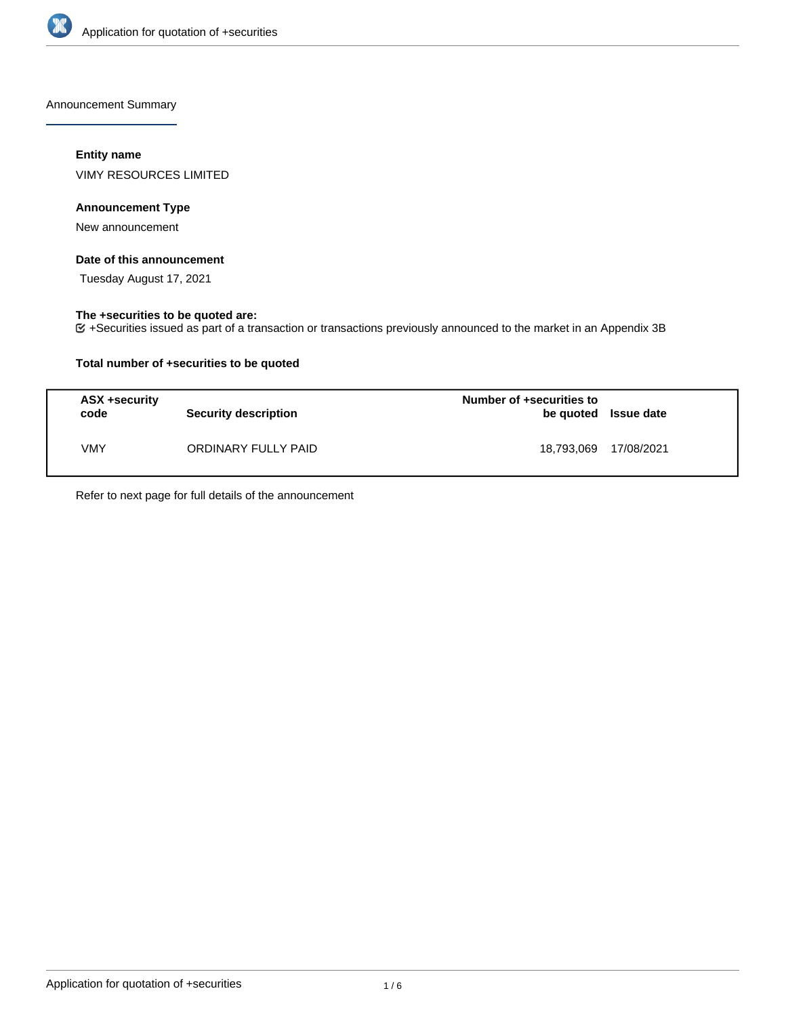

Announcement Summary

### **Entity name**

VIMY RESOURCES LIMITED

### **Announcement Type**

New announcement

### **Date of this announcement**

Tuesday August 17, 2021

### **The +securities to be quoted are:**

+Securities issued as part of a transaction or transactions previously announced to the market in an Appendix 3B

### **Total number of +securities to be quoted**

| ASX +security<br>code | <b>Security description</b> | Number of +securities to<br>be quoted Issue date |            |
|-----------------------|-----------------------------|--------------------------------------------------|------------|
| <b>VMY</b>            | ORDINARY FULLY PAID         | 18,793,069                                       | 17/08/2021 |

Refer to next page for full details of the announcement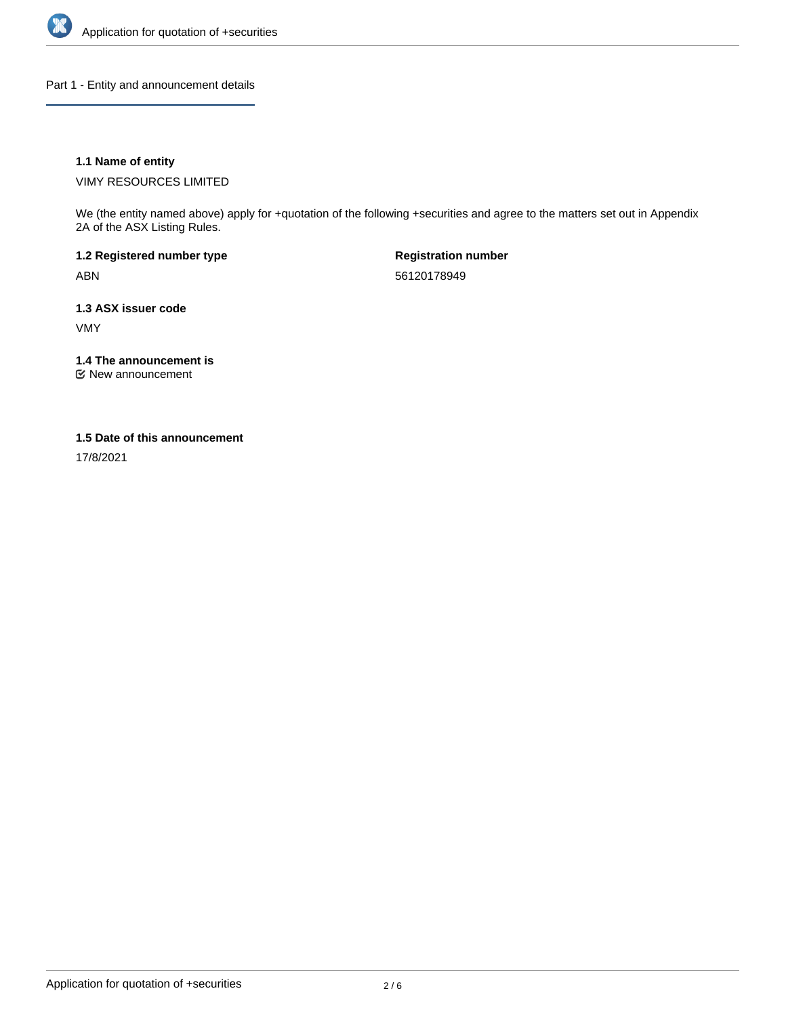

Part 1 - Entity and announcement details

### **1.1 Name of entity**

VIMY RESOURCES LIMITED

We (the entity named above) apply for +quotation of the following +securities and agree to the matters set out in Appendix 2A of the ASX Listing Rules.

**1.2 Registered number type** ABN

**Registration number** 56120178949

**1.3 ASX issuer code** VMY

**1.4 The announcement is**

New announcement

#### **1.5 Date of this announcement**

17/8/2021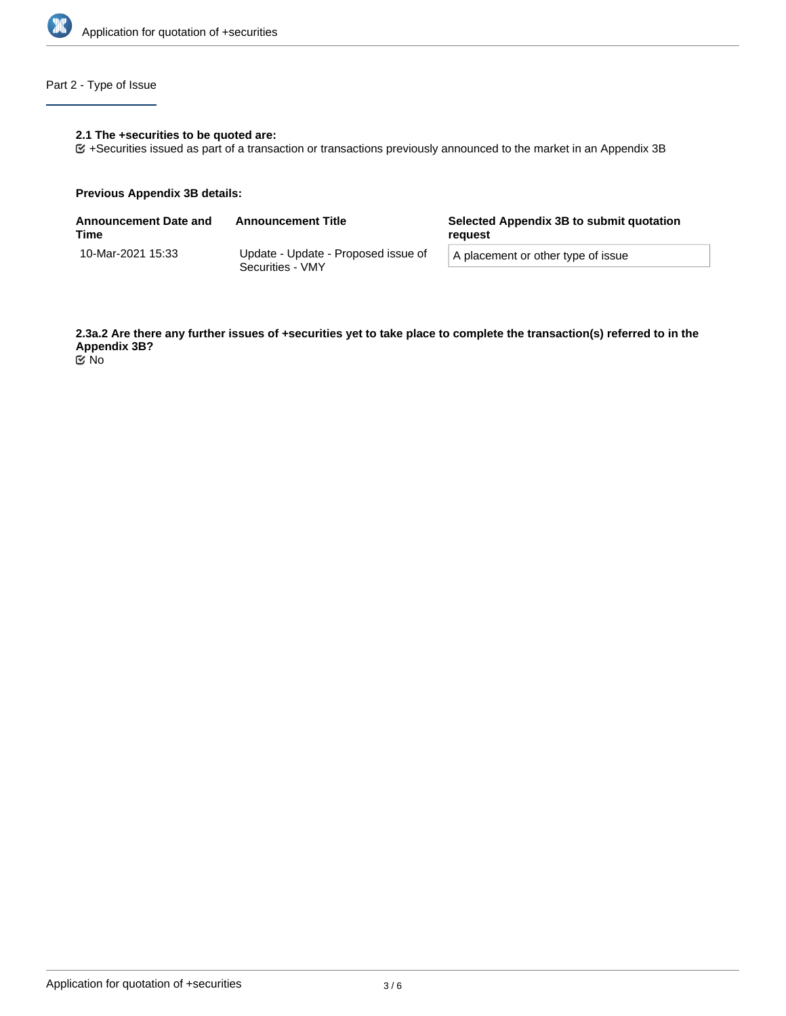

# Part 2 - Type of Issue

### **2.1 The +securities to be quoted are:**

+Securities issued as part of a transaction or transactions previously announced to the market in an Appendix 3B

#### **Previous Appendix 3B details:**

| <b>Announcement Date and</b><br>Time | <b>Announcement Title</b>                               | Selected Appendix 3B to submit quotation<br>reauest |
|--------------------------------------|---------------------------------------------------------|-----------------------------------------------------|
| 10-Mar-2021 15:33                    | Update - Update - Proposed issue of<br>Securities - VMY | A placement or other type of issue                  |

**2.3a.2 Are there any further issues of +securities yet to take place to complete the transaction(s) referred to in the Appendix 3B?**

No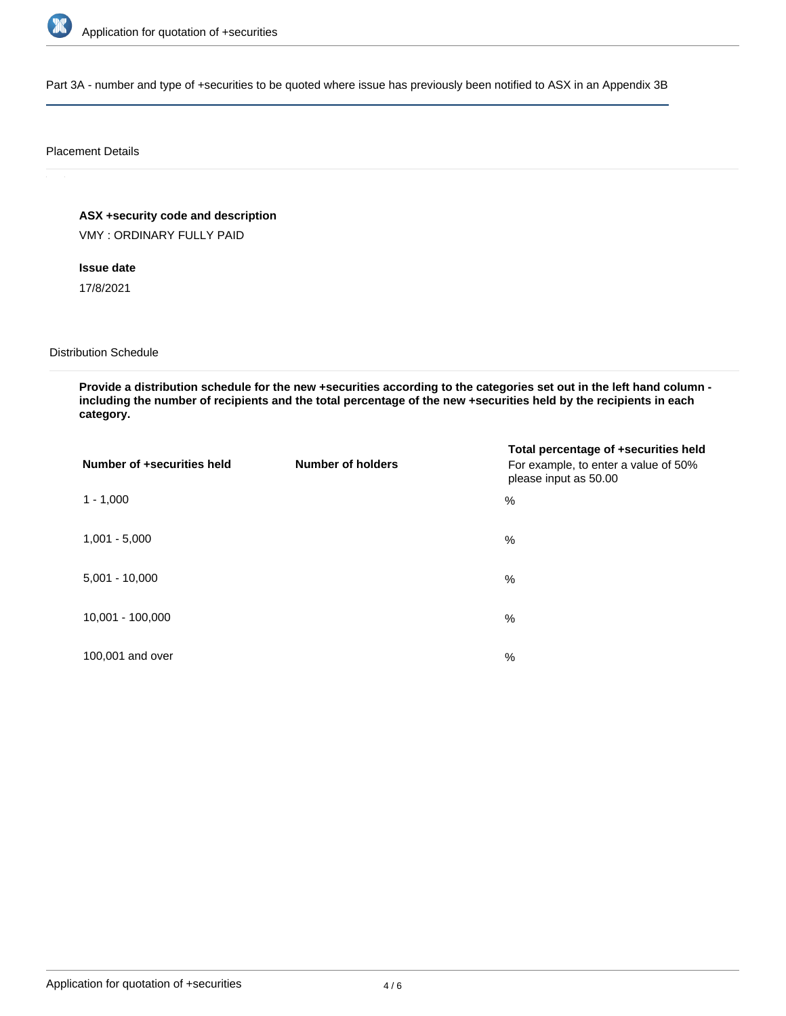

Part 3A - number and type of +securities to be quoted where issue has previously been notified to ASX in an Appendix 3B

#### Placement Details

**ASX +security code and description**

VMY : ORDINARY FULLY PAID

**Issue date**

17/8/2021

Distribution Schedule

**Provide a distribution schedule for the new +securities according to the categories set out in the left hand column including the number of recipients and the total percentage of the new +securities held by the recipients in each category.**

| Number of +securities held | <b>Number of holders</b> | Total percentage of +securities held<br>For example, to enter a value of 50%<br>please input as 50.00 |
|----------------------------|--------------------------|-------------------------------------------------------------------------------------------------------|
| $1 - 1,000$                |                          | %                                                                                                     |
| $1,001 - 5,000$            |                          | $\%$                                                                                                  |
| $5,001 - 10,000$           |                          | %                                                                                                     |
| 10,001 - 100,000           |                          | $\frac{0}{0}$                                                                                         |
| 100,001 and over           |                          | $\%$                                                                                                  |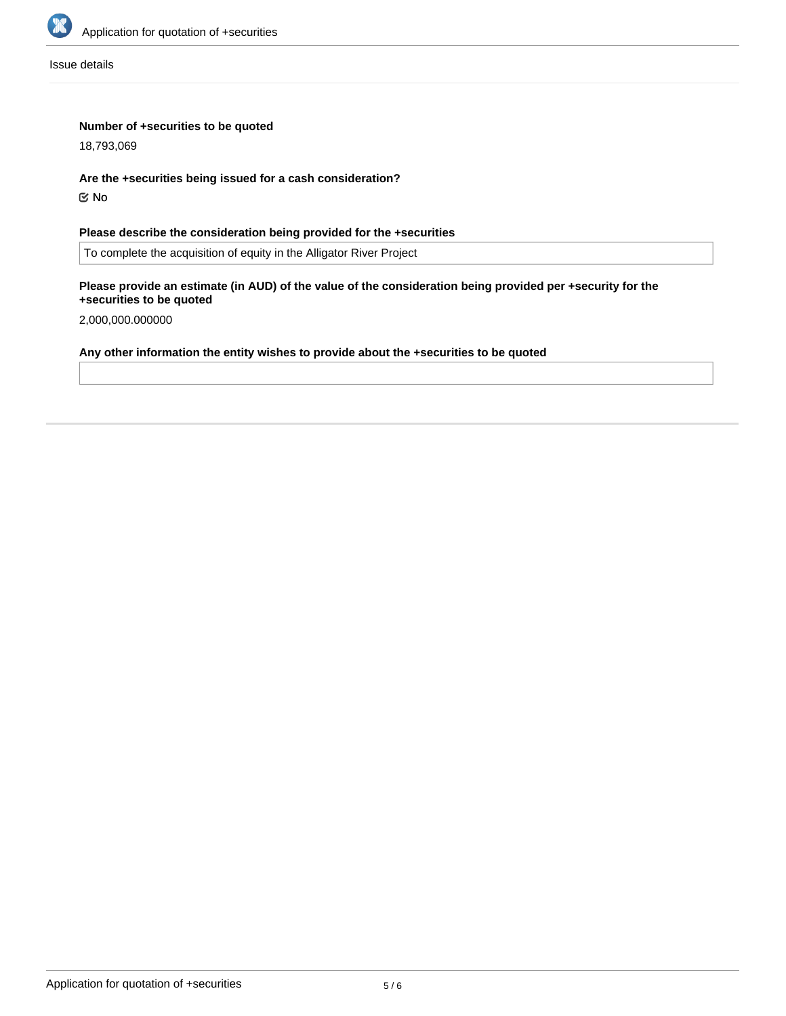

Issue details

### **Number of +securities to be quoted**

18,793,069

**Are the +securities being issued for a cash consideration?**

No

# **Please describe the consideration being provided for the +securities**

To complete the acquisition of equity in the Alligator River Project

### **Please provide an estimate (in AUD) of the value of the consideration being provided per +security for the +securities to be quoted**

2,000,000.000000

# **Any other information the entity wishes to provide about the +securities to be quoted**